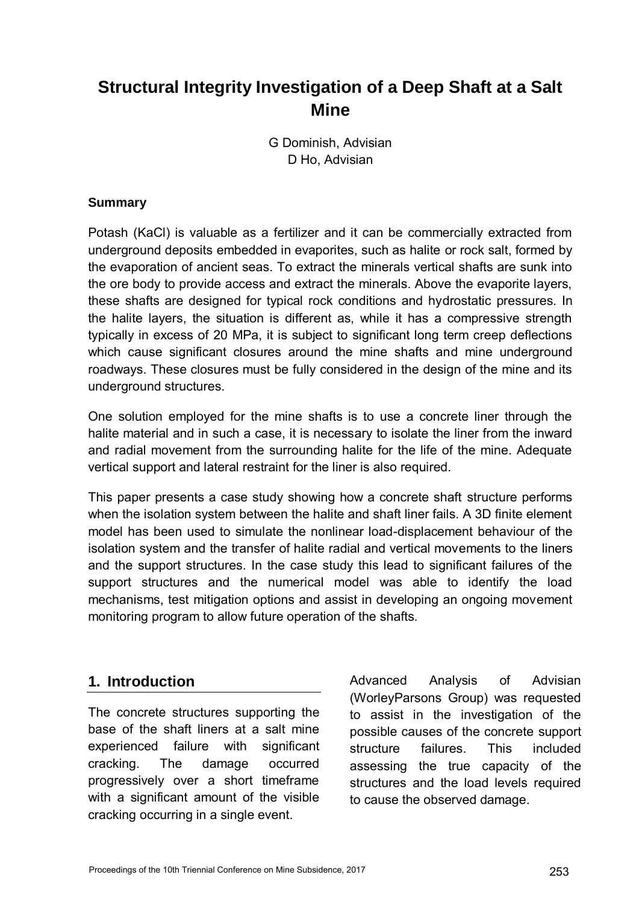# **Structural Integrity Investigation of a Deep Shaft at a Salt Mine**

G Dominish, Advisian D Ho, Advisian

#### **Summary**

Potash (KaCl) is valuable as a fertilizer and it can be commercially extracted from underground deposits embedded in evaporites, such as halite or rock salt, formed by the evaporation of ancient seas. To extract the minerals vertical shafts are sunk into the ore body to provide access and extract the minerals. Above the evaporite layers, these shafts are designed for typical rock conditions and hydrostatic pressures. In the halite layers, the situation is different as, while it has a compressive strength typically in excess of 20 MPa, it is subject to significant long term creep deflections which cause significant closures around the mine shafts and mine underground roadways. These closures must be fully considered in the design of the mine and its underground structures.

One solution employed for the mine shafts is to use a concrete liner through the halite material and in such a case, it is necessary to isolate the liner from the inward and radial movement from the surrounding halite for the life of the mine. Adequate vertical support and lateral restraint for the liner is also required.

This paper presents a case study showing how a concrete shaft structure performs when the isolation system between the halite and shaft liner fails. A 3D finite element model has been used to simulate the nonlinear load-displacement behaviour of the isolation system and the transfer of halite radial and vertical movements to the liners and the support structures. In the case study this lead to significant failures of the support structures and the numerical model was able to identify the load mechanisms, test mitigation options and assist in developing an ongoing movement monitoring program to allow future operation of the shafts.

### **1. Introduction**

The concrete structures supporting the base of the shaft liners at a salt mine experienced failure with significant cracking. The damage occurred progressively over a short timeframe with a significant amount of the visible cracking occurring in a single event.

Advanced Analysis of Advisian (WorleyParsons Group) was requested to assist in the investigation of the possible causes of the concrete support structure failures. This included assessing the true capacity of the structures and the load levels required to cause the observed damage.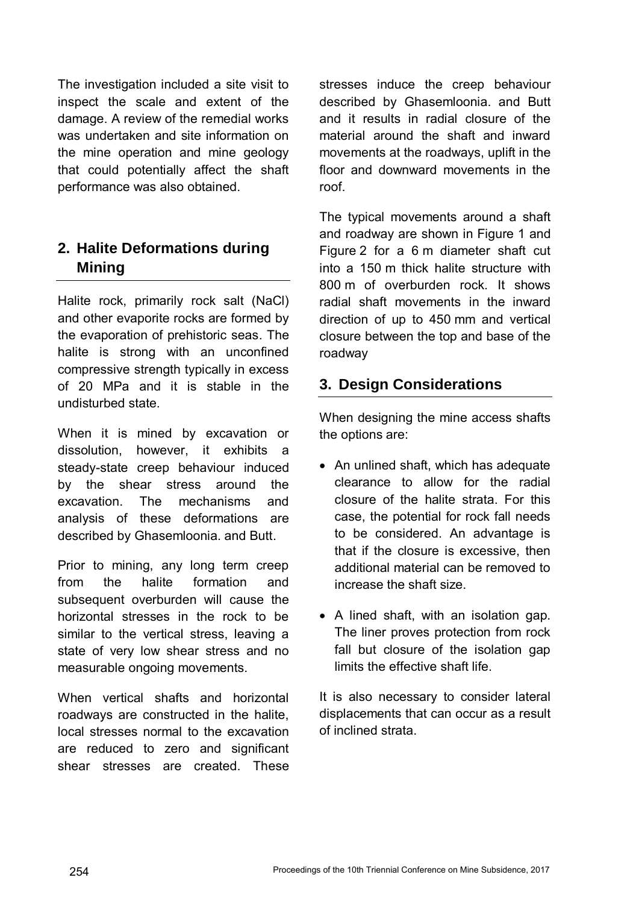The investigation included a site visit to inspect the scale and extent of the damage. A review of the remedial works was undertaken and site information on the mine operation and mine geology that could potentially affect the shaft performance was also obtained.

# **2. Halite Deformations during Mining**

Halite rock, primarily rock salt (NaCl) and other evaporite rocks are formed by the evaporation of prehistoric seas. The halite is strong with an unconfined compressive strength typically in excess of 20 MPa and it is stable in the undisturbed state.

When it is mined by excavation or dissolution, however, it exhibits a steady-state creep behaviour induced by the shear stress around the excavation. The mechanisms and analysis of these deformations are described by Ghasemloonia. and Butt.

Prior to mining, any long term creep from the halite formation and subsequent overburden will cause the horizontal stresses in the rock to be similar to the vertical stress, leaving a state of very low shear stress and no measurable ongoing movements.

When vertical shafts and horizontal roadways are constructed in the halite, local stresses normal to the excavation are reduced to zero and significant shear stresses are created. These

stresses induce the creep behaviour described by Ghasemloonia. and Butt and it results in radial closure of the material around the shaft and inward movements at the roadways, uplift in the floor and downward movements in the roof.

The typical movements around a shaft and roadway are shown in Figure 1 and Figure 2 for a 6 m diameter shaft cut into a 150 m thick halite structure with 800 m of overburden rock. It shows radial shaft movements in the inward direction of up to 450 mm and vertical closure between the top and base of the roadway

# **3. Design Considerations**

When designing the mine access shafts the options are:

- An unlined shaft, which has adequate clearance to allow for the radial closure of the halite strata. For this case, the potential for rock fall needs to be considered. An advantage is that if the closure is excessive, then additional material can be removed to increase the shaft size.
- A lined shaft, with an isolation gap. The liner proves protection from rock fall but closure of the isolation gap limits the effective shaft life.

It is also necessary to consider lateral displacements that can occur as a result of inclined strata.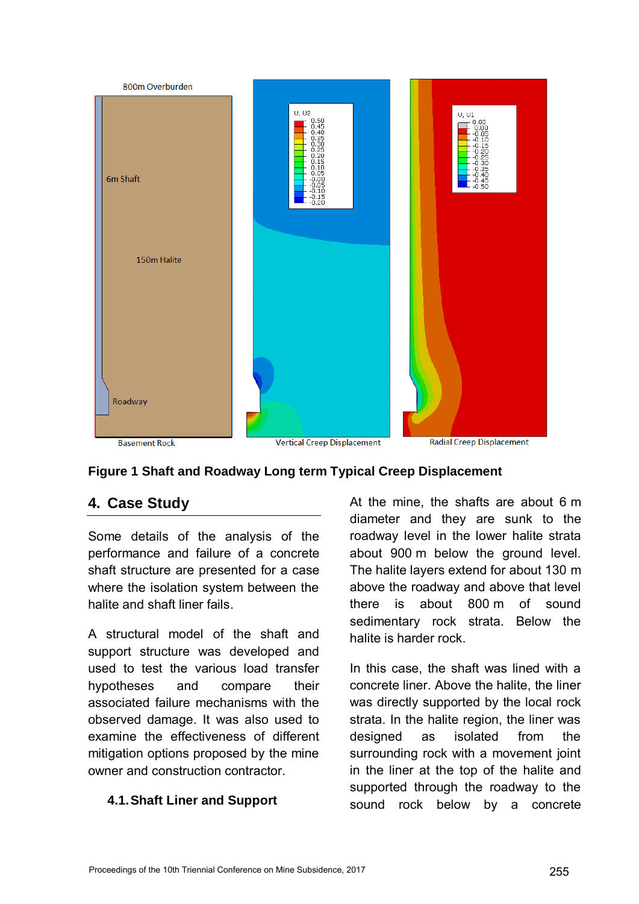



### **4. Case Study**

Some details of the analysis of the performance and failure of a concrete shaft structure are presented for a case where the isolation system between the halite and shaft liner fails.

A structural model of the shaft and support structure was developed and used to test the various load transfer hypotheses and compare their associated failure mechanisms with the observed damage. It was also used to examine the effectiveness of different mitigation options proposed by the mine owner and construction contractor.

#### **4.1. Shaft Liner and Support**

At the mine, the shafts are about 6 m diameter and they are sunk to the roadway level in the lower halite strata about 900 m below the ground level. The halite layers extend for about 130 m above the roadway and above that level there is about 800 m of sound sedimentary rock strata. Below the halite is harder rock.

In this case, the shaft was lined with a concrete liner. Above the halite, the liner was directly supported by the local rock strata. In the halite region, the liner was designed as isolated from the surrounding rock with a movement joint in the liner at the top of the halite and supported through the roadway to the sound rock below by a concrete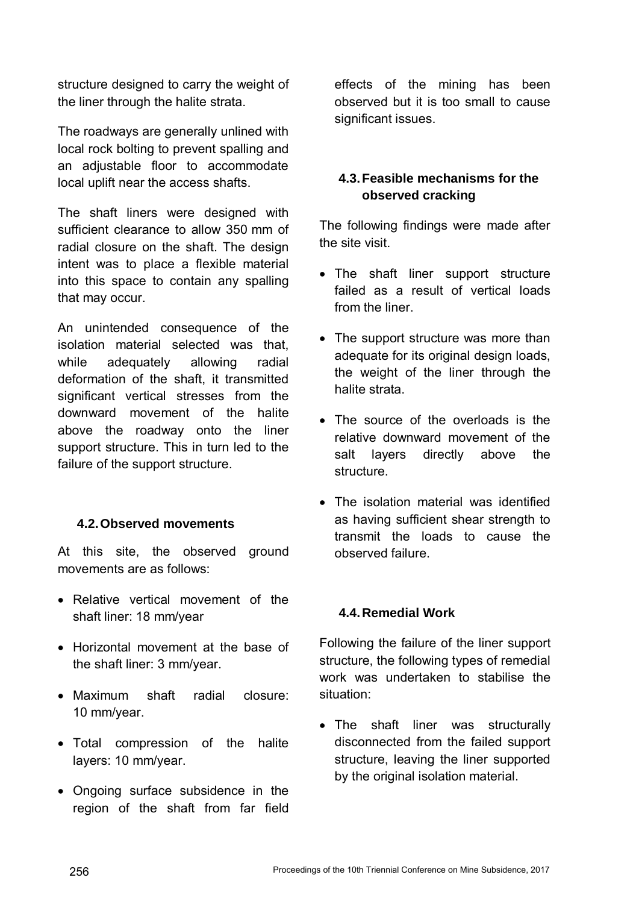structure designed to carry the weight of the liner through the halite strata.

The roadways are generally unlined with local rock bolting to prevent spalling and an adjustable floor to accommodate local uplift near the access shafts.

The shaft liners were designed with sufficient clearance to allow 350 mm of radial closure on the shaft. The design intent was to place a flexible material into this space to contain any spalling that may occur.

An unintended consequence of the isolation material selected was that, while adequately allowing radial deformation of the shaft, it transmitted significant vertical stresses from the downward movement of the halite above the roadway onto the liner support structure. This in turn led to the failure of the support structure.

### **4.2. Observed movements**

At this site, the observed ground movements are as follows:

- Relative vertical movement of the shaft liner: 18 mm/year
- Horizontal movement at the base of the shaft liner: 3 mm/year.
- Maximum shaft radial closure: 10 mm/year.
- Total compression of the halite layers: 10 mm/year.
- Ongoing surface subsidence in the region of the shaft from far field

effects of the mining has been observed but it is too small to cause significant issues.

### **4.3. Feasible mechanisms for the observed cracking**

The following findings were made after the site visit.

- The shaft liner support structure failed as a result of vertical loads from the liner.
- The support structure was more than adequate for its original design loads, the weight of the liner through the halite strata.
- The source of the overloads is the relative downward movement of the salt layers directly above the structure.
- The isolation material was identified as having sufficient shear strength to transmit the loads to cause the observed failure.

#### **4.4. Remedial Work**

Following the failure of the liner support structure, the following types of remedial work was undertaken to stabilise the situation:

• The shaft liner was structurally disconnected from the failed support structure, leaving the liner supported by the original isolation material.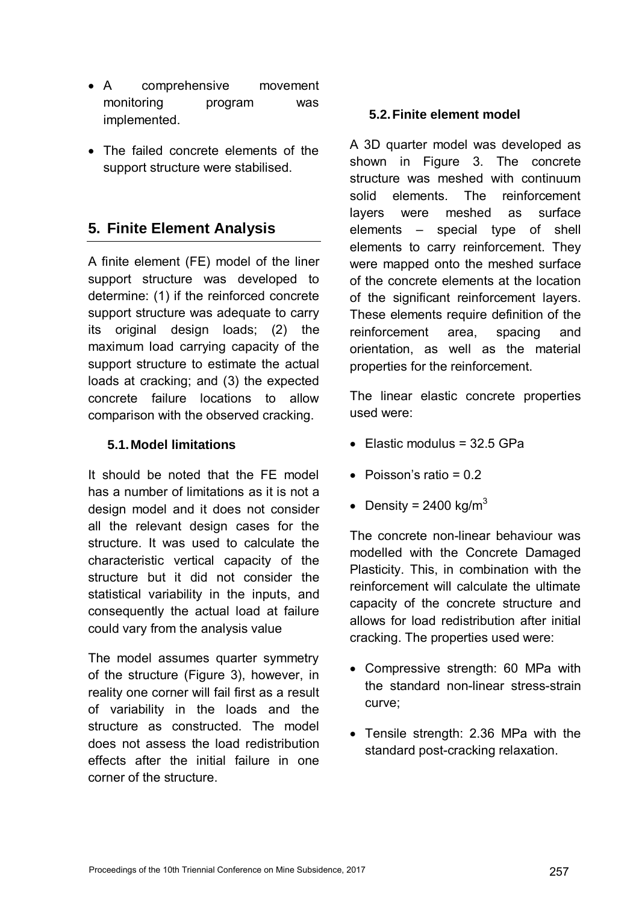- A comprehensive movement monitoring program was implemented.
- The failed concrete elements of the support structure were stabilised.

# **5. Finite Element Analysis**

A finite element (FE) model of the liner support structure was developed to determine: (1) if the reinforced concrete support structure was adequate to carry its original design loads; (2) the maximum load carrying capacity of the support structure to estimate the actual loads at cracking; and (3) the expected concrete failure locations to allow comparison with the observed cracking.

#### **5.1. Model limitations**

It should be noted that the FE model has a number of limitations as it is not a design model and it does not consider all the relevant design cases for the structure. It was used to calculate the characteristic vertical capacity of the structure but it did not consider the statistical variability in the inputs, and consequently the actual load at failure could vary from the analysis value

The model assumes quarter symmetry of the structure (Figure 3), however, in reality one corner will fail first as a result of variability in the loads and the structure as constructed. The model does not assess the load redistribution effects after the initial failure in one corner of the structure.

#### **5.2. Finite element model**

A 3D quarter model was developed as shown in Figure 3. The concrete structure was meshed with continuum solid elements. The reinforcement layers were meshed as surface elements – special type of shell elements to carry reinforcement. They were mapped onto the meshed surface of the concrete elements at the location of the significant reinforcement layers. These elements require definition of the reinforcement area, spacing and orientation, as well as the material properties for the reinforcement.

The linear elastic concrete properties used were:

- $\bullet$  Flastic modulus = 32.5 GPa
- $\bullet$  Poisson's ratio = 0.2
- Density = 2400 kg/m<sup>3</sup>

The concrete non-linear behaviour was modelled with the Concrete Damaged Plasticity. This, in combination with the reinforcement will calculate the ultimate capacity of the concrete structure and allows for load redistribution after initial cracking. The properties used were:

- Compressive strength: 60 MPa with the standard non-linear stress-strain curve;
- Tensile strength: 2.36 MPa with the standard post-cracking relaxation.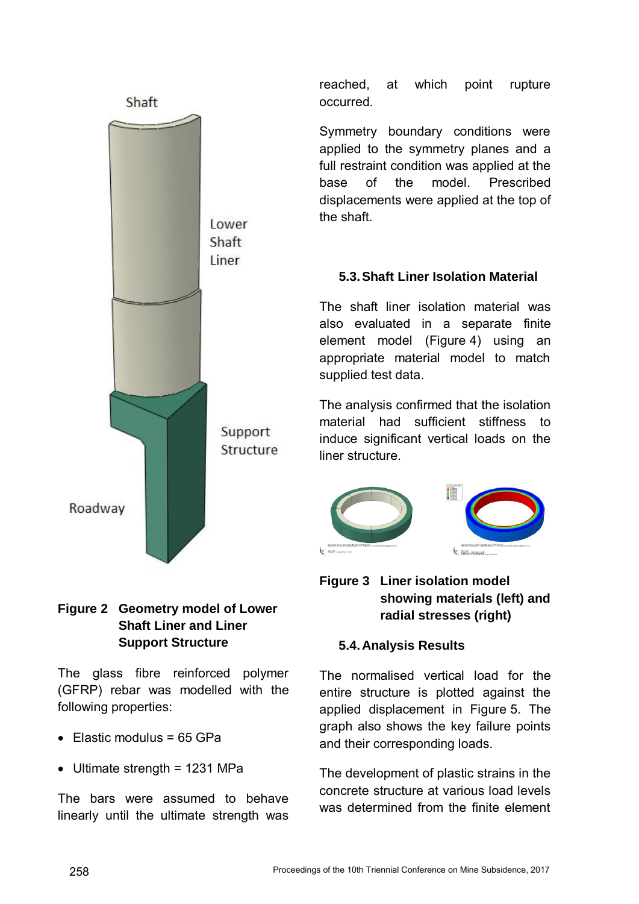

reached, at which point rupture occurred.

Symmetry boundary conditions were applied to the symmetry planes and a full restraint condition was applied at the base of the model. Prescribed displacements were applied at the top of the shaft.

### **5.3. Shaft Liner Isolation Material**

The shaft liner isolation material was also evaluated in a separate finite element model (Figure 4) using an appropriate material model to match supplied test data.

The analysis confirmed that the isolation material had sufficient stiffness to induce significant vertical loads on the liner structure.



### **Figure 3 Liner isolation model showing materials (left) and radial stresses (right)**

### **5.4. Analysis Results**

The normalised vertical load for the entire structure is plotted against the applied displacement in Figure 5. The graph also shows the key failure points and their corresponding loads.

The development of plastic strains in the concrete structure at various load levels was determined from the finite element

### **Figure 2 Geometry model of Lower Shaft Liner and Liner Support Structure**

The glass fibre reinforced polymer (GFRP) rebar was modelled with the following properties:

- $\bullet$  Elastic modulus = 65 GPa
- Ultimate strength = 1231 MPa

The bars were assumed to behave linearly until the ultimate strength was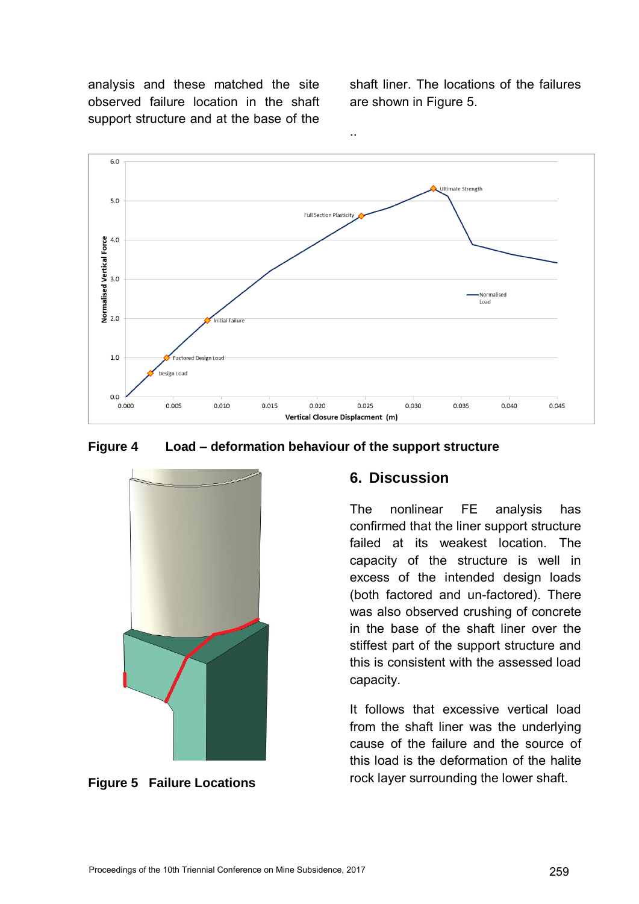analysis and these matched the site observed failure location in the shaft support structure and at the base of the

shaft liner. The locations of the failures are shown in Figure 5.



**Figure 4 Load – deformation behaviour of the support structure**



**Figure 5 Failure Locations** 

### **6. Discussion**

The nonlinear FE analysis has confirmed that the liner support structure failed at its weakest location. The capacity of the structure is well in excess of the intended design loads (both factored and un-factored). There was also observed crushing of concrete in the base of the shaft liner over the stiffest part of the support structure and this is consistent with the assessed load capacity.

It follows that excessive vertical load from the shaft liner was the underlying cause of the failure and the source of this load is the deformation of the halite rock layer surrounding the lower shaft.